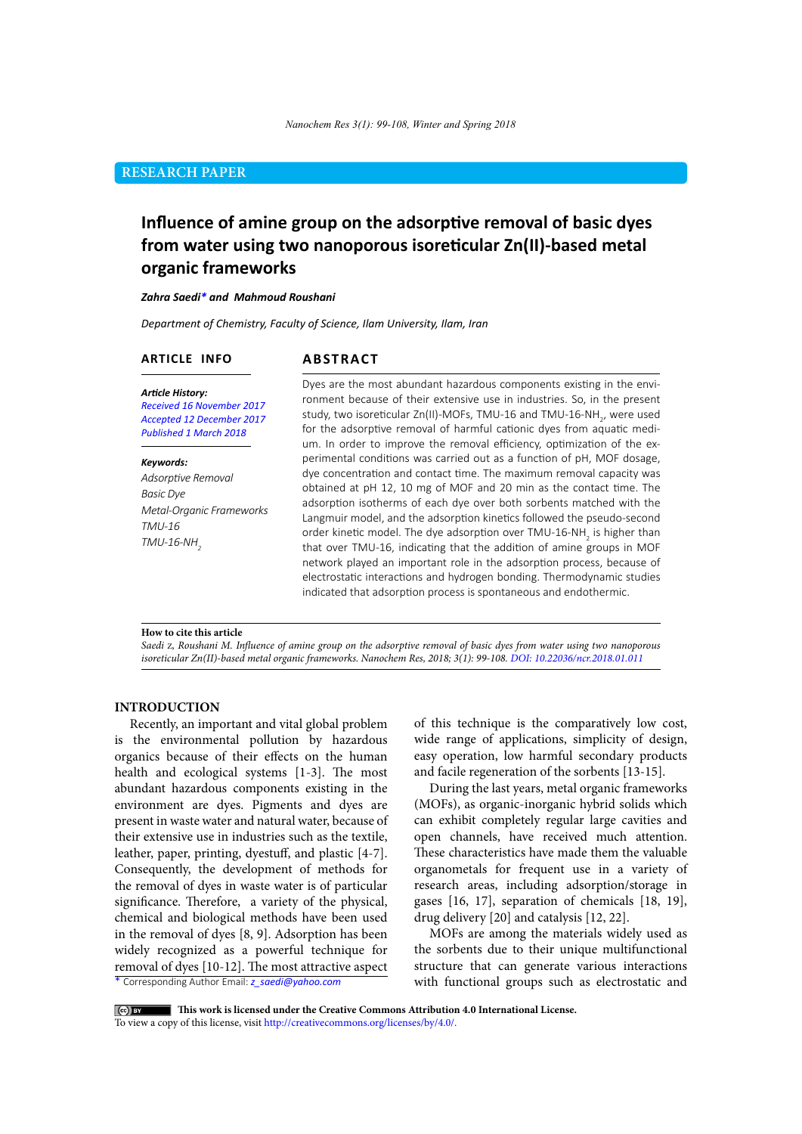# **RESEARCH PAPER**

# **Influence of amine group on the adsorptive removal of basic dyes from water using two nanoporous isoreticular Zn(II)-based metal organic frameworks**

### *Zahra Saedi\* and Mahmoud Roushani*

*Department of Chemistry, Faculty of Science, Ilam University, Ilam, Iran*

# **ARTICLE INFO**

# **ABSTRACT**

*Article History: Received 16 November 2017 Accepted 12 December 2017 Published 1 March 2018*

#### *Keywords:*

*Adsorptive Removal Basic Dye Metal-Organic Frameworks TMU-16 TMU-16-NH<sup>2</sup>*

Dyes are the most abundant hazardous components existing in the environment because of their extensive use in industries. So, in the present study, two isoreticular Zn(II)-MOFs, TMU-16 and TMU-16-NH<sub>2</sub>, were used for the adsorptive removal of harmful cationic dyes from aquatic medium. In order to improve the removal efficiency, optimization of the experimental conditions was carried out as a function of pH, MOF dosage, dye concentration and contact time. The maximum removal capacity was obtained at pH 12, 10 mg of MOF and 20 min as the contact time. The adsorption isotherms of each dye over both sorbents matched with the Langmuir model, and the adsorption kinetics followed the pseudo-second order kinetic model. The dye adsorption over TMU-16-NH<sub>2</sub> is higher than that over TMU-16, indicating that the addition of amine groups in MOF network played an important role in the adsorption process, because of electrostatic interactions and hydrogen bonding. Thermodynamic studies indicated that adsorption process is spontaneous and endothermic.

#### **How to cite this article**

*Saedi* Z*, Roushani M. Influence of amine group on the adsorptive removal of basic dyes from water using two nanoporous isoreticular Zn(II)-based metal organic frameworks. Nanochem Res, 2018; 3(1): 99-108. DOI: 10.22036/ncr.2018.01.011*

# **INTRODUCTION**

Recently, an important and vital global problem is the environmental pollution by hazardous organics because of their effects on the human health and ecological systems [1-3]. The most abundant hazardous components existing in the environment are dyes. Pigments and dyes are present in waste water and natural water, because of their extensive use in industries such as the textile, leather, paper, printing, dyestuff, and plastic [4-7]. Consequently, the development of methods for the removal of dyes in waste water is of particular significance. Therefore, a variety of the physical, chemical and biological methods have been used in the removal of dyes [8, 9]. Adsorption has been widely recognized as a powerful technique for removal of dyes [10-12]. The most attractive aspect

of this technique is the comparatively low cost, wide range of applications, simplicity of design, easy operation, low harmful secondary products and facile regeneration of the sorbents [13-15].

During the last years, metal organic frameworks (MOFs), as organic-inorganic hybrid solids which can exhibit completely regular large cavities and open channels, have received much attention. These characteristics have made them the valuable organometals for frequent use in a variety of research areas, including adsorption/storage in gases [16, 17], separation of chemicals [18, 19], drug delivery [20] and catalysis [12, 22].

MOFs are among the materials widely used as the sorbents due to their unique multifunctional structure that can generate various interactions with functional groups such as electrostatic and

\* Corresponding Author Email: *z\_saedi@yahoo.com*

 **This work is licensed under the Creative Commons Attribution 4.0 International License.** 

To view a copy of this license, visit [http://creativecommons.org/licenses/by/4.0/.](http://creativecommons.org/licenses/by/4.0/)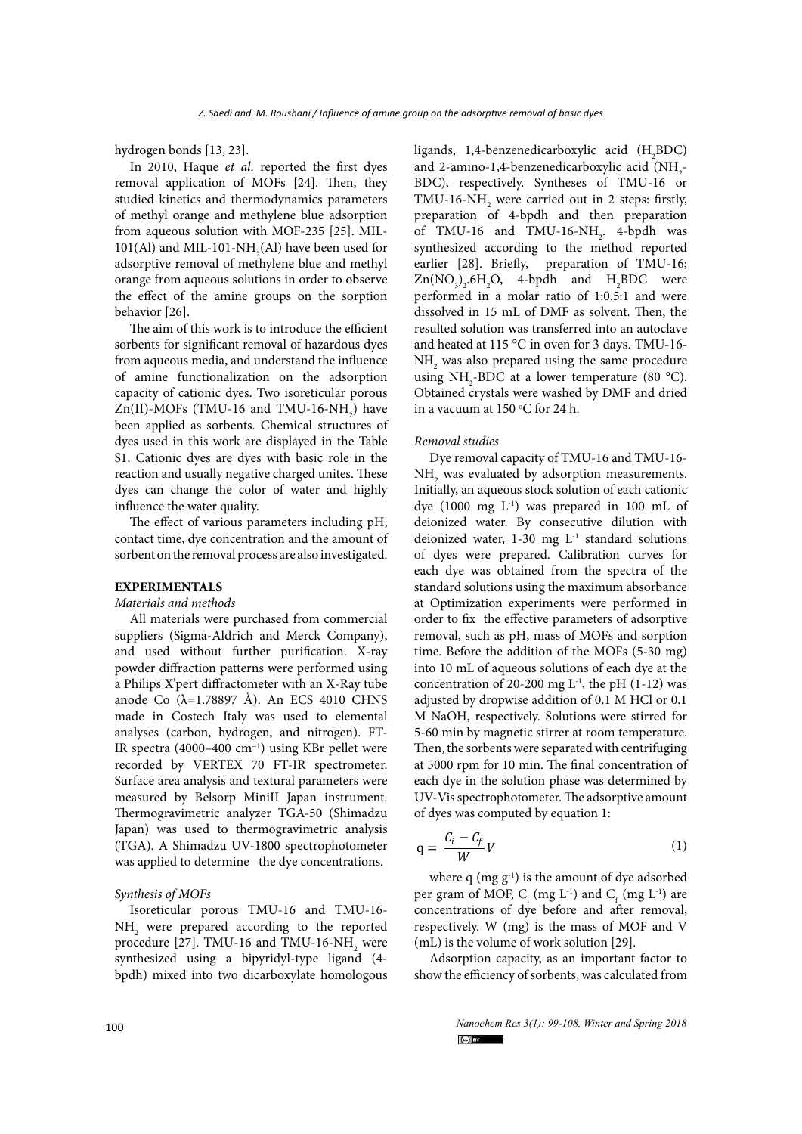hydrogen bonds [13, 23].

In 2010, Haque *et al*. reported the first dyes removal application of MOFs [24]. Then, they studied kinetics and thermodynamics parameters of methyl orange and methylene blue adsorption from aqueous solution with MOF-235 [25]. MIL-101(Al) and MIL-101-NH<sub>2</sub>(Al) have been used for adsorptive removal of methylene blue and methyl orange from aqueous solutions in order to observe the effect of the amine groups on the sorption behavior [26].

The aim of this work is to introduce the efficient sorbents for significant removal of hazardous dyes from aqueous media, and understand the influence of amine functionalization on the adsorption capacity of cationic dyes. Two isoreticular porous  $Zn(II)$ -MOFs (TMU-16 and TMU-16-NH<sub>2</sub>) have been applied as sorbents. Chemical structures of dyes used in this work are displayed in the Table S1. Cationic dyes are dyes with basic role in the reaction and usually negative charged unites. These dyes can change the color of water and highly influence the water quality.

The effect of various parameters including pH, contact time, dye concentration and the amount of sorbent on the removal process are also investigated.

# **EXPERIMENTALS**

#### *Materials and methods*

All materials were purchased from commercial suppliers (Sigma-Aldrich and Merck Company), and used without further purification. X-ray powder diffraction patterns were performed using a Philips X'pert diffractometer with an X-Ray tube anode Co  $(\lambda=1.78897 \text{ Å})$ . An ECS 4010 CHNS made in Costech Italy was used to elemental analyses (carbon, hydrogen, and nitrogen). FT-IR spectra (4000–400 cm−1) using KBr pellet were recorded by VERTEX 70 FT-IR spectrometer. Surface area analysis and textural parameters were measured by Belsorp MiniII Japan instrument. Thermogravimetric analyzer TGA-50 (Shimadzu Japan) was used to thermogravimetric analysis (TGA). A Shimadzu UV-1800 spectrophotometer was applied to determine the dye concentrations.

## *Synthesis of MOFs*

Isoreticular porous TMU-16 and TMU-16- NH<sub>2</sub> were prepared according to the reported procedure [27]. TMU-16 and TMU-16-NH<sub>2</sub> were synthesized using a bipyridyl-type ligand (4 bpdh) mixed into two dicarboxylate homologous

ligands, 1,4-benzenedicarboxylic acid  $(H_2BDC)$ and 2-amino-1,4-benzenedicarboxylic acid  $(NH_2 - )$ BDC), respectively. Syntheses of TMU-16 or TMU-16-NH<sub>2</sub> were carried out in 2 steps: firstly, preparation of 4-bpdh and then preparation of TMU-16 and TMU-16-NH<sub>2</sub>. 4-bpdh was synthesized according to the method reported earlier [28]. Briefly, preparation of TMU-16;  $\text{Zn}(\text{NO}_3)_2$ .6H<sub>2</sub>O, 4-bpdh and H<sub>2</sub>BDC were performed in a molar ratio of 1:0.5:1 and were dissolved in 15 mL of DMF as solvent. Then, the resulted solution was transferred into an autoclave and heated at 115 °C in oven for 3 days. TMU-16-  $NH<sub>2</sub>$  was also prepared using the same procedure using  $NH_2$ -BDC at a lower temperature (80 °C). Obtained crystals were washed by DMF and dried in a vacuum at  $150^{\circ}$ C for 24 h.

#### *Removal studies*

Dye removal capacity of TMU-16 and TMU-16-  $NH<sub>2</sub>$  was evaluated by adsorption measurements. Initially, an aqueous stock solution of each cationic dye (1000 mg L-1) was prepared in 100 mL of deionized water. By consecutive dilution with deionized water,  $1-30$  mg  $L^{-1}$  standard solutions of dyes were prepared. Calibration curves for each dye was obtained from the spectra of the standard solutions using the maximum absorbance at Optimization experiments were performed in order to fix the effective parameters of adsorptive removal, such as pH, mass of MOFs and sorption time. Before the addition of the MOFs (5-30 mg) into 10 mL of aqueous solutions of each dye at the concentration of 20-200 mg  $L<sup>-1</sup>$ , the pH (1-12) was adjusted by dropwise addition of 0.1 M HCl or 0.1 M NaOH, respectively. Solutions were stirred for 5-60 min by magnetic stirrer at room temperature. Then, the sorbents were separated with centrifuging at 5000 rpm for 10 min. The final concentration of each dye in the solution phase was determined by UV-Vis spectrophotometer. The adsorptive amount of dyes was computed by equation 1:

$$
q = \frac{C_i - C_f}{W}V\tag{1}
$$

where  $q$  (mg  $g^{-1}$ ) is the amount of dye adsorbed per gram of MOF,  $C_i$  (mg L<sup>-1</sup>) and  $C_f$  (mg L<sup>-1</sup>) are concentrations of dye before and after removal, respectively. W (mg) is the mass of MOF and V (mL) is the volume of work solution [29].

Adsorption capacity, as an important factor to show the efficiency of sorbents, was calculated from

> *Nanochem Res 3(1): 99-108, Winter and Spring 2018*  $\left($ <sub>c</sub>o $\right)$  by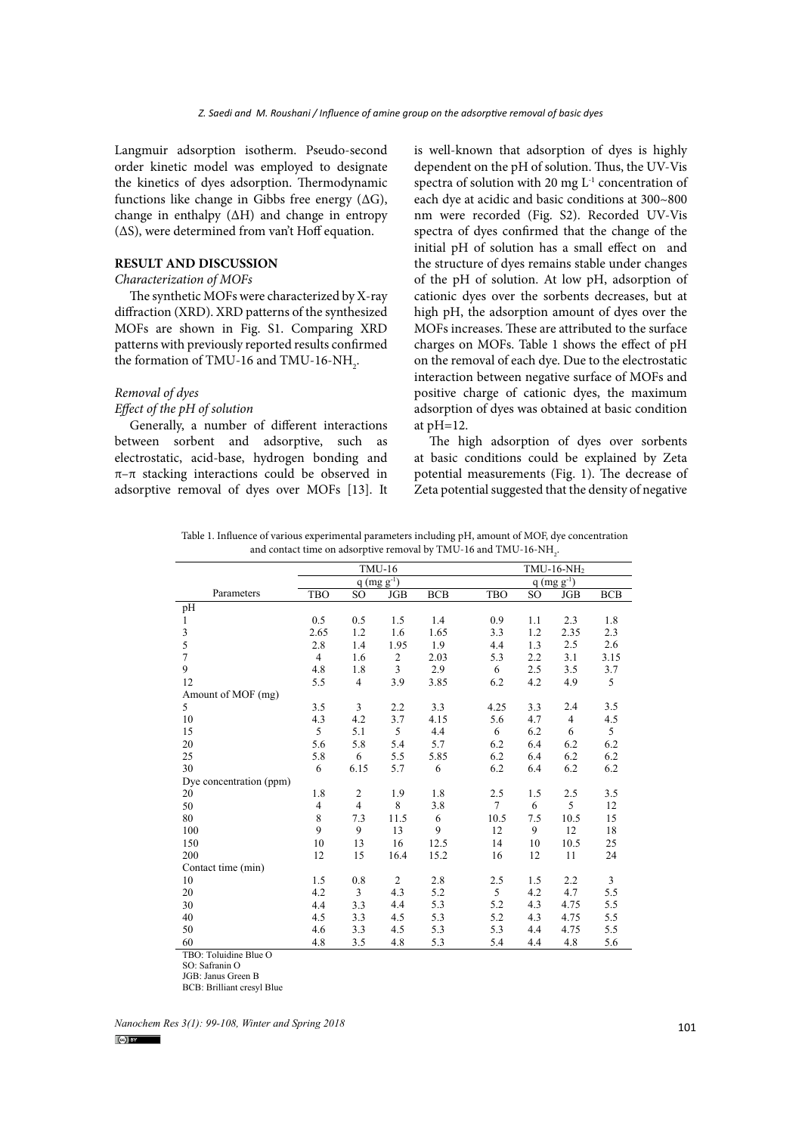Langmuir adsorption isotherm. Pseudo-second order kinetic model was employed to designate the kinetics of dyes adsorption. Thermodynamic functions like change in Gibbs free energy (∆G), change in enthalpy (∆H) and change in entropy (∆S), were determined from van't Hoff equation.

## **RESULT AND DISCUSSION**

# *Characterization of MOFs*

The synthetic MOFs were characterized by X-ray diffraction (XRD). XRD patterns of the synthesized MOFs are shown in Fig. S1. Comparing XRD patterns with previously reported results confirmed the formation of TMU-16 and TMU-16-NH<sub>2</sub>.

# *Removal of dyes*

# *Effect of the pH of solution*

Generally, a number of different interactions between sorbent and adsorptive, such as electrostatic, acid-base, hydrogen bonding and  $\pi-\pi$  stacking interactions could be observed in adsorptive removal of dyes over MOFs [13]. It

is well-known that adsorption of dyes is highly dependent on the pH of solution. Thus, the UV-Vis spectra of solution with 20 mg  $L^{-1}$  concentration of each dye at acidic and basic conditions at 300~800 nm were recorded (Fig. S2). Recorded UV-Vis spectra of dyes confirmed that the change of the initial pH of solution has a small effect on and the structure of dyes remains stable under changes of the pH of solution. At low pH, adsorption of cationic dyes over the sorbents decreases, but at high pH, the adsorption amount of dyes over the MOFs increases. These are attributed to the surface charges on MOFs. Table 1 shows the effect of pH on the removal of each dye. Due to the electrostatic interaction between negative surface of MOFs and positive charge of cationic dyes, the maximum adsorption of dyes was obtained at basic condition at pH=12.

The high adsorption of dyes over sorbents at basic conditions could be explained by Zeta potential measurements (Fig. 1). The decrease of Zeta potential suggested that the density of negative

Table 1. Influence of various experimental parameters including pH, amount of MOF, dye concentration Table 1. Influence of various experimental parameters including pH, amount of MOF, dye concentration<br>and contest time on adcorptive removal by TMU-16 and TMU-16 NH and contact time on adsorptive removal by TMU-16 and TMU-16-NH .

|                         | <b>TMU-16</b>   |                 |                |            | TMU-16-NH <sub>2</sub> |     |                |            |  |  |
|-------------------------|-----------------|-----------------|----------------|------------|------------------------|-----|----------------|------------|--|--|
|                         | q $(mg g^{-1})$ |                 |                |            | $q$ (mg $g^{-1}$ )     |     |                |            |  |  |
| Parameters              | <b>TBO</b>      | SO <sub>1</sub> | <b>JGB</b>     | <b>BCB</b> | <b>TBO</b>             | SO. | JGB            | <b>BCB</b> |  |  |
| pH                      |                 |                 |                |            |                        |     |                |            |  |  |
| $\mathbf{1}$            | 0.5             | 0.5             | 1.5            | 1.4        | 0.9                    | 1.1 | 2.3            | 1.8        |  |  |
| $\mathfrak{Z}$          | 2.65            | 1.2             | 1.6            | 1.65       | 3.3                    | 1.2 | 2.35           | 2.3        |  |  |
| 5                       | 2.8             | 1.4             | 1.95           | 1.9        | 4.4                    | 1.3 | 2.5            | 2.6        |  |  |
| $\overline{7}$          | $\overline{4}$  | 1.6             | $\overline{c}$ | 2.03       | 5.3                    | 2.2 | 3.1            | 3.15       |  |  |
| 9                       | 4.8             | 1.8             | 3              | 2.9        | 6                      | 2.5 | 3.5            | 3.7        |  |  |
| 12                      | 5.5             | $\overline{4}$  | 3.9            | 3.85       | 6.2                    | 4.2 | 4.9            | 5          |  |  |
| Amount of MOF (mg)      |                 |                 |                |            |                        |     |                |            |  |  |
| 5                       | 3.5             | 3               | 2.2            | 3.3        | 4.25                   | 3.3 | 2.4            | 3.5        |  |  |
| 10                      | 4.3             | 4.2             | 3.7            | 4.15       | 5.6                    | 4.7 | $\overline{4}$ | 4.5        |  |  |
| 15                      | 5               | 5.1             | 5 <sup>5</sup> | 4.4        | 6                      | 6.2 | 6              | 5          |  |  |
| 20                      | 5.6             | 5.8             | 5.4            | 5.7        | 6.2                    | 6.4 | 6.2            | 6.2        |  |  |
| 25                      | 5.8             | 6               | 5.5            | 5.85       | 6.2                    | 6.4 | 6.2            | 6.2        |  |  |
| 30                      | 6               | 6.15            | 5.7            | 6          | 6.2                    | 6.4 | 6.2            | 6.2        |  |  |
| Dye concentration (ppm) |                 |                 |                |            |                        |     |                |            |  |  |
| 20                      | 1.8             | 2               | 1.9            | 1.8        | 2.5                    | 1.5 | 2.5            | 3.5        |  |  |
| 50                      | $\overline{4}$  | $\overline{4}$  | 8              | 3.8        | $7\overline{ }$        | 6   | 5              | 12         |  |  |
| 80                      | 8               | 7.3             | 11.5           | 6          | 10.5                   | 7.5 | 10.5           | 15         |  |  |
| 100                     | 9               | 9               | 13             | 9          | 12                     | 9   | 12             | 18         |  |  |
| 150                     | 10              | 13              | 16             | 12.5       | 14                     | 10  | 10.5           | 25         |  |  |
| 200                     | 12              | 15              | 16.4           | 15.2       | 16                     | 12  | 11             | 24         |  |  |
| Contact time (min)      |                 |                 |                |            |                        |     |                |            |  |  |
| 10                      | 1.5             | 0.8             | 2              | 2.8        | 2.5                    | 1.5 | 2.2            | 3          |  |  |
| 20                      | 4.2             | 3               | 4.3            | 5.2        | 5                      | 4.2 | 4.7            | 5.5        |  |  |
| 30                      | 4.4             | 3.3             | 4.4            | 5.3        | 5.2                    | 4.3 | 4.75           | 5.5        |  |  |
| 40                      | 4.5             | 3.3             | 4.5            | 5.3        | 5.2                    | 4.3 | 4.75           | 5.5        |  |  |
| 50                      | 4.6             | 3.3             | 4.5            | 5.3        | 5.3                    | 4.4 | 4.75           | 5.5        |  |  |
| 60                      | 4.8             | 3.5             | 4.8            | 5.3        | 5.4                    | 4.4 | 4.8            | 5.6        |  |  |
| TBO: Toluidine Blue O   |                 |                 |                |            |                        |     |                |            |  |  |

SO: Safranin O

JGB: Janus Green B

BCB: Brilliant cresyl Blue

*Nanochem Res 3(1): 99-108, Winter and Spring 2018* 101 **101 101**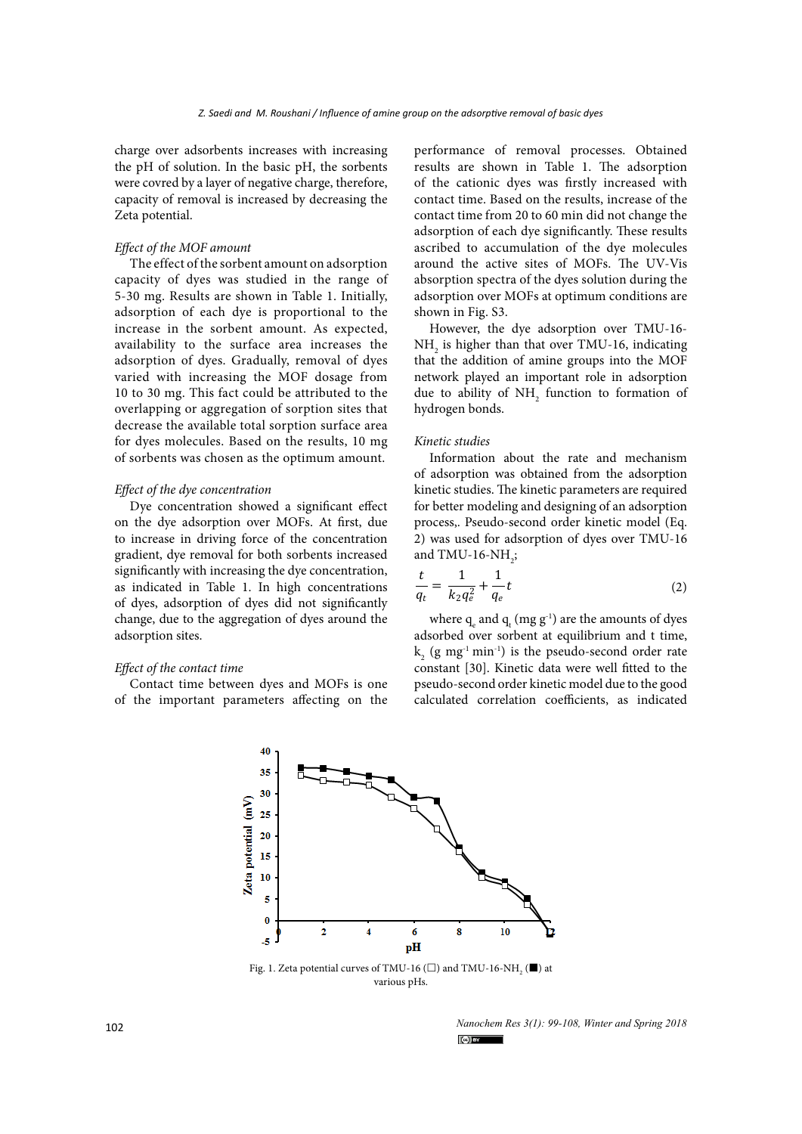charge over adsorbents increases with increasing the pH of solution. In the basic pH, the sorbents were covred by a layer of negative charge, therefore, capacity of removal is increased by decreasing the Zeta potential.

# *Effect of the MOF amount*

The effect of the sorbent amount on adsorption capacity of dyes was studied in the range of 5-30 mg. Results are shown in Table 1. Initially, adsorption of each dye is proportional to the increase in the sorbent amount. As expected, availability to the surface area increases the adsorption of dyes. Gradually, removal of dyes varied with increasing the MOF dosage from 10 to 30 mg. This fact could be attributed to the overlapping or aggregation of sorption sites that decrease the available total sorption surface area for dyes molecules. Based on the results, 10 mg of sorbents was chosen as the optimum amount.

#### *Effect of the dye concentration*

Dye concentration showed a significant effect on the dye adsorption over MOFs. At first, due to increase in driving force of the concentration gradient, dye removal for both sorbents increased significantly with increasing the dye concentration, as indicated in Table 1. In high concentrations of dyes, adsorption of dyes did not significantly change, due to the aggregation of dyes around the adsorption sites.

#### *Effect of the contact time*

Contact time between dyes and MOFs is one of the important parameters affecting on the performance of removal processes. Obtained results are shown in Table 1. The adsorption of the cationic dyes was firstly increased with contact time. Based on the results, increase of the contact time from 20 to 60 min did not change the adsorption of each dye significantly. These results ascribed to accumulation of the dye molecules around the active sites of MOFs. The UV-Vis absorption spectra of the dyes solution during the adsorption over MOFs at optimum conditions are shown in Fig. S3.

However, the dye adsorption over TMU-16-  $NH<sub>2</sub>$  is higher than that over TMU-16, indicating that the addition of amine groups into the MOF network played an important role in adsorption due to ability of  $NH<sub>2</sub>$  function to formation of hydrogen bonds.

#### *Kinetic studies*

Information about the rate and mechanism of adsorption was obtained from the adsorption kinetic studies. The kinetic parameters are required for better modeling and designing of an adsorption process,. Pseudo-second order kinetic model (Eq. 2) was used for adsorption of dyes over TMU-16 and TMU-16-NH<sub>2</sub>;

$$
\frac{t}{q_t} = \frac{1}{k_2 q_e^2} + \frac{1}{q_e} t \tag{2}
$$

where  $q_{e}$  and  $q_{t}$  (mg  $g^{-1}$ ) are the amounts of dyes adsorbed over sorbent at equilibrium and t time,  $k_2$  (g mg<sup>-1</sup> min<sup>-1</sup>) is the pseudo-second order rate constant [30]. Kinetic data were well fitted to the pseudo-second order kinetic model due to the good calculated correlation coefficients, as indicated



Fig. 1. Zeta potential curves of TMU-16 ( $\Box$ ) and TMU-16-NH<sub>2</sub> ( $\blacksquare$ ) at various pHs.

*Nanochem Res 3(1): 99-108, Winter and Spring 2018*  $\left($ <sub>c</sub>o $\right)$  by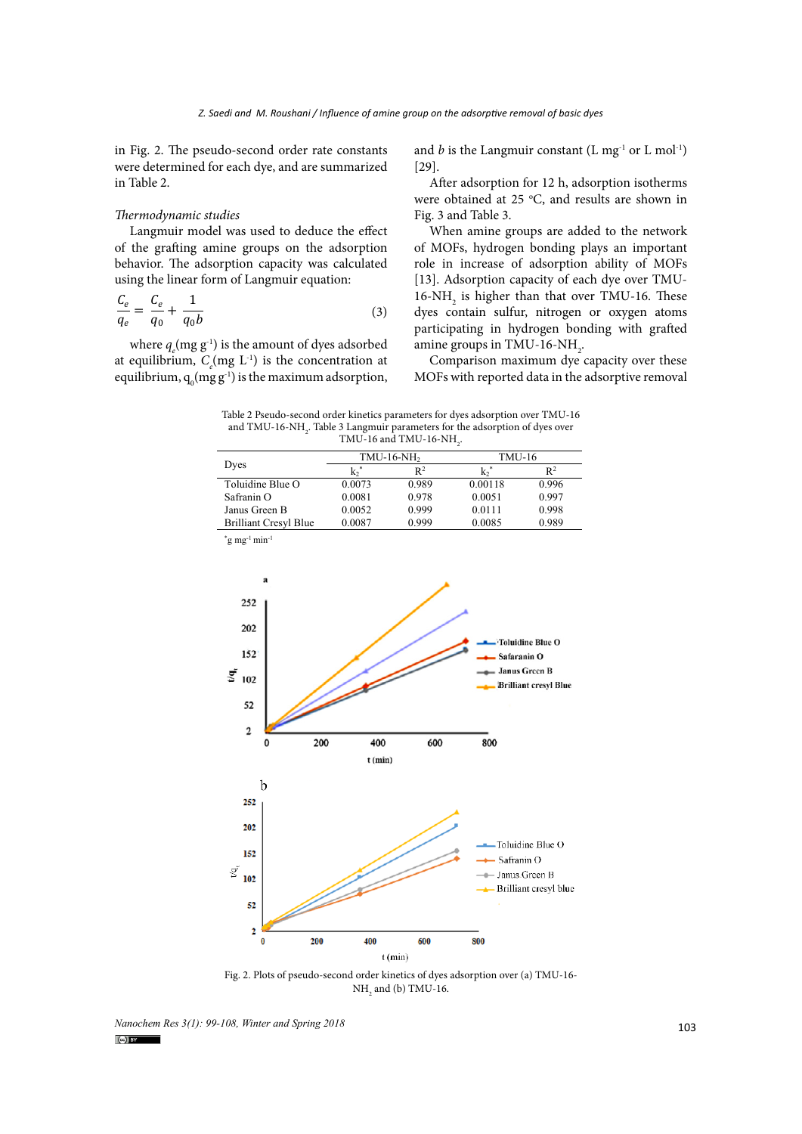in Fig. 2. The pseudo-second order rate constants were determined for each dye, and are summarized in Table 2.

#### *Thermodynamic studies*

Langmuir model was used to deduce the effect of the grafting amine groups on the adsorption behavior. The adsorption capacity was calculated using the linear form of Langmuir equation:

$$
\frac{C_e}{q_e} = \frac{C_e}{q_0} + \frac{1}{q_0 b} \tag{3}
$$

where  $q_e$ (mg  $g^{-1}$ ) is the amount of dyes adsorbed at equilibrium,  $C_e$ (mg  $L^{-1}$ ) is the concentration at equilibrium,  $q_0$ (mg g<sup>-1</sup>) is the maximum adsorption,

and *b* is the Langmuir constant  $(L mg<sup>-1</sup> or L mol<sup>-1</sup>)$ [29].

After adsorption for 12 h, adsorption isotherms were obtained at 25  $\degree$ C, and results are shown in Fig. 3 and Table 3.

When amine groups are added to the network of MOFs, hydrogen bonding plays an important role in increase of adsorption ability of MOFs [13]. Adsorption capacity of each dye over TMU-16-NH<sub>2</sub> is higher than that over TMU-16. These dyes contain sulfur, nitrogen or oxygen atoms participating in hydrogen bonding with grafted amine groups in TMU-16-NH<sub>2</sub>.

Comparison maximum dye capacity over these MOFs with reported data in the adsorptive removal

and TMU-16-NH $_{\mbox{\tiny 2}}.$  Table 3 Langmuir parameters for the adsorption of dyes over  $\frac{1}{\sqrt{1-\frac{1}{\sqrt{1-\frac{1}{\sqrt{1-\frac{1}{\sqrt{1-\frac{1}{\sqrt{1-\frac{1}{\sqrt{1-\frac{1}{\sqrt{1-\frac{1}{\sqrt{1-\frac{1}{\sqrt{1-\frac{1}{\sqrt{1-\frac{1}{\sqrt{1-\frac{1}{\sqrt{1-\frac{1}{\sqrt{1-\frac{1}{\sqrt{1-\frac{1}{\sqrt{1-\frac{1}{\sqrt{1-\frac{1}{\sqrt{1-\frac{1}{\sqrt{1-\frac{1}{\sqrt{1-\frac{1}{\sqrt{1-\frac{1}{\sqrt{1-\frac{1}{\sqrt{1-\frac{1}{\sqrt{1-\frac{1}{\sqrt{1-\frac{1$ Table 2 Pseudo-second order kinetics parameters for dyes adsorption over TMU-16 TMU-16 and TMU-16-NH<sub>2</sub>.

|                                               |        | $TMU-16-NH2$   | TMU-16  |                |  |  |
|-----------------------------------------------|--------|----------------|---------|----------------|--|--|
| Dyes                                          | $k^*$  | $\mathsf{R}^2$ | k٠      | $\mathsf{R}^2$ |  |  |
| Toluidine Blue O                              | 0.0073 | 0.989          | 0.00118 | 0.996          |  |  |
| Safranin O                                    | 0.0081 | 0.978          | 0.0051  | 0.997          |  |  |
| Janus Green B                                 | 0.0052 | 0.999          | 0.0111  | 0.998          |  |  |
| <b>Brilliant Cresyl Blue</b>                  | 0.0087 | 0.999          | 0.0085  | 0.989          |  |  |
| $\gamma$ g mg <sup>-1</sup> min <sup>-1</sup> |        |                |         |                |  |  |



 $NH<sub>2</sub>$  and (b) TMU-16. Fig. 2. Plots of pseudo-second order kinetics of dyes adsorption over (a) TMU-16-

<sup>103</sup> *Nanochem Res 3(1): 99-108, Winter and Spring 2018*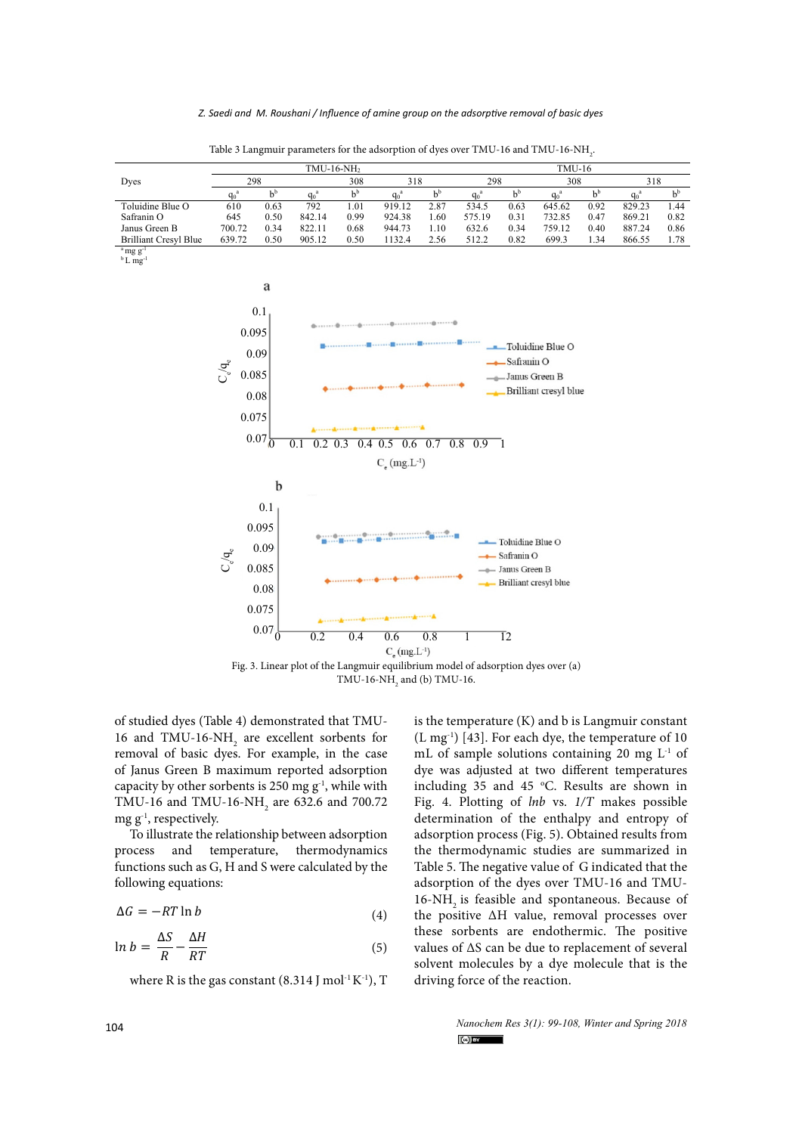|                                                                 | TMU-16-NH <sub>2</sub>                        |                   |         |       |                                         | <b>TMU-16</b> |                                   |                                              |                         |       |         |       |
|-----------------------------------------------------------------|-----------------------------------------------|-------------------|---------|-------|-----------------------------------------|---------------|-----------------------------------|----------------------------------------------|-------------------------|-------|---------|-------|
| Dyes                                                            |                                               | 298               |         | 308   | 318                                     |               | 298                               |                                              | 308                     |       | 318     |       |
|                                                                 | $q_0^a$                                       | $b^b$             | $q_0^a$ | $b^b$ | $q_0^a$                                 | $b^b$         | $q_0^a$                           | $b^b$                                        | $q_0^a$                 | $b^b$ | $q_0^a$ | $b^b$ |
| Toluidine Blue O                                                | 610                                           | 0.63              | 792     | 1.01  | 919.12                                  | 2.87          | 534.5                             | 0.63                                         | 645.62                  | 0.92  | 829.23  | 1.44  |
| Safranin O                                                      | 645                                           | 0.50              | 842.14  | 0.99  | 924.38                                  | 1.60          | 575.19                            | 0.31                                         | 732.85                  | 0.47  | 869.21  | 0.82  |
| Janus Green B                                                   | 700.72                                        | 0.34              | 822.11  | 0.68  | 944.73                                  | 1.10          | 632.6                             | 0.34                                         | 759.12                  | 0.40  | 887.24  | 0.86  |
| <b>Brilliant Cresyl Blue</b>                                    | 639.72                                        | 0.50              | 905.12  | 0.50  | 1132.4                                  | 2.56          | 512.2                             | 0.82                                         | 699.3                   | 1.34  | 866.55  | 1.78  |
| $\mathrm{m}\mathrm{g}\mathrm{g}^{-1}$<br>$b$ L mg <sup>-1</sup> |                                               |                   |         |       |                                         |               |                                   |                                              |                         |       |         |       |
|                                                                 |                                               | a                 |         |       |                                         |               |                                   |                                              |                         |       |         |       |
|                                                                 |                                               | 0.1               |         |       |                                         |               |                                   |                                              |                         |       |         |       |
|                                                                 |                                               | 0.095             |         |       |                                         |               |                                   |                                              |                         |       |         |       |
|                                                                 |                                               |                   |         |       |                                         |               |                                   |                                              | -Toluidine Blue O       |       |         |       |
|                                                                 |                                               | 0.09              |         |       |                                         |               |                                   | Safranin O                                   |                         |       |         |       |
|                                                                 | $\mathrm{C}_\mathrm{e}/\mathrm{q}_\mathrm{e}$ | 0.085             |         |       |                                         |               |                                   | Janus Green B                                |                         |       |         |       |
|                                                                 |                                               |                   |         |       |                                         |               |                                   |                                              | Brilliant cresyl blue   |       |         |       |
|                                                                 |                                               | 0.08              |         |       |                                         |               |                                   |                                              |                         |       |         |       |
|                                                                 |                                               | 0.075             |         |       |                                         |               |                                   |                                              |                         |       |         |       |
|                                                                 |                                               | $0.07\frac{1}{0}$ | 0.1     |       | $0.2$ 0.3 0.4 0.5 0.6 0.7               |               | $\overline{0.8}$<br>$0.9 \quad 1$ |                                              |                         |       |         |       |
|                                                                 |                                               |                   |         |       | $C_e$ (mg.L <sup>-1</sup> )             |               |                                   |                                              |                         |       |         |       |
|                                                                 |                                               | b                 |         |       |                                         |               |                                   |                                              |                         |       |         |       |
|                                                                 |                                               | 0.1               |         |       |                                         |               |                                   |                                              |                         |       |         |       |
|                                                                 |                                               | 0.095             |         |       |                                         |               |                                   |                                              |                         |       |         |       |
|                                                                 |                                               | 0.09              |         |       |                                         |               |                                   | Toluidine Blue O<br>$\rightarrow$ Safranin O |                         |       |         |       |
|                                                                 | $C_{e} / q_{e}$                               | 0.085             |         |       |                                         |               |                                   | -- Janus Green B                             |                         |       |         |       |
|                                                                 |                                               | 0.08              |         |       |                                         |               |                                   |                                              | - Brilliant cresyl blue |       |         |       |
|                                                                 |                                               | 0.075             |         |       | Accounts and American Accounts April 19 |               |                                   |                                              |                         |       |         |       |

Table 3 Langmuir parameters for the adsorption of dyes over TMU-16 and TMU-16-NH $_{\rm 2}$ 

 $C_e$  (mg.L<sup>-1</sup>) Fig. 3. Linear plot of the Langmuir equilibrium model of adsorption dyes over (a) TMU-16-NH<sub>2</sub> and (b) TMU-16.

0 0.2 0.4 0.6 0.8 1 12

of studied dyes (Table 4) demonstrated that TMU-16 and TMU-16-NH<sub>2</sub> are excellent sorbents for removal of basic dyes. For example, in the case of Janus Green B maximum reported adsorption capacity by other sorbents is 250 mg  $g^{-1}$ , while with TMU-16 and TMU-16-NH<sub>2</sub> are 632.6 and 700.72  $mg g^{-1}$ , respectively.

 $0.07 \frac{L}{0}$ 

To illustrate the relationship between adsorption process and temperature, thermodynamics functions such as G, H and S were calculated by the following equations:

$$
\Delta G = -RT \ln b \tag{4}
$$

$$
\ln b = \frac{\Delta S}{R} - \frac{\Delta H}{RT} \tag{5}
$$

where R is the gas constant  $(8.314$  J mol<sup>-1</sup> K<sup>-1</sup>), T

is the temperature (K) and b is Langmuir constant (L mg-1) [43]. For each dye, the temperature of 10 mL of sample solutions containing 20 mg L-1 of dye was adjusted at two different temperatures including 35 and 45  $°C$ . Results are shown in Fig. 4. Plotting of *lnb* vs. *1/T* makes possible determination of the enthalpy and entropy of adsorption process (Fig. 5). Obtained results from the thermodynamic studies are summarized in Table 5. The negative value of G indicated that the adsorption of the dyes over TMU-16 and TMU-16-NH<sub>2</sub> is feasible and spontaneous. Because of the positive ∆H value, removal processes over these sorbents are endothermic. The positive values of ∆S can be due to replacement of several solvent molecules by a dye molecule that is the driving force of the reaction.

> *Nanochem Res 3(1): 99-108, Winter and Spring 2018*  $\left(\text{c}\right)$  BY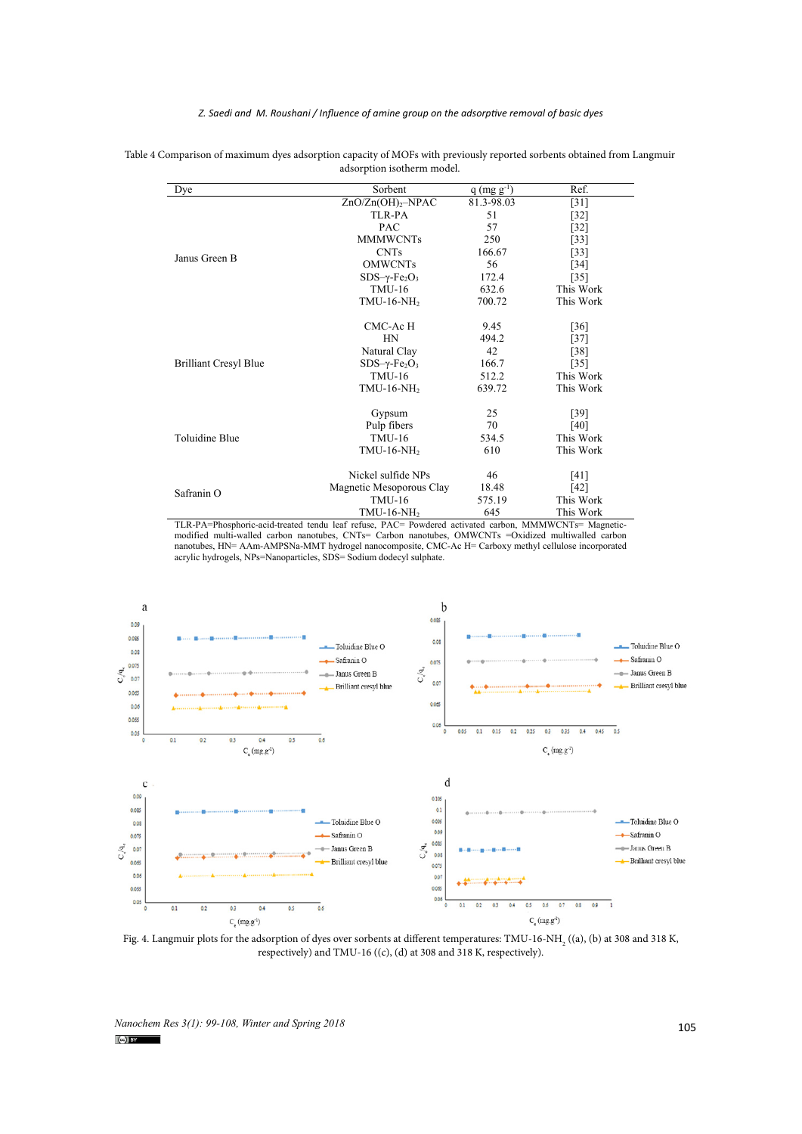*Z. Saedi and M. Roushani / Influence of amine group on the adsorptive removal of basic dyes* 

| Dye                          | Sorbent                                      | $q$ (mg $g^{-1}$ ) | Ref.               |
|------------------------------|----------------------------------------------|--------------------|--------------------|
|                              | ZnO/Zn(OH) <sub>2</sub> –NPAC                | 81.3-98.03         | $[31]$             |
|                              | TLR-PA                                       | 51                 | $[32]$             |
|                              | <b>PAC</b>                                   | 57                 | $[32]$             |
|                              | <b>MMMWCNTs</b>                              | 250                | $[33]$             |
| Janus Green B                | <b>CNTs</b>                                  | 166.67             | $[33]$             |
|                              | <b>OMWCNTs</b>                               | 56                 | $[34]$             |
|                              | $SDS-\gamma$ -Fe <sub>2</sub> O <sub>3</sub> | 172.4              | $[35]$             |
|                              | <b>TMU-16</b>                                | 632.6              | This Work          |
|                              | TMU-16-NH <sub>2</sub>                       | 700.72             | This Work          |
|                              | CMC-AcH                                      | 9.45               | $\lceil 36 \rceil$ |
|                              | HN                                           | 494.2              | $[37]$             |
|                              | Natural Clay                                 | 42                 | [38]               |
| <b>Brilliant Cresyl Blue</b> | $SDS-\gamma$ -Fe <sub>2</sub> O <sub>3</sub> | 166.7              | $[35]$             |
|                              | <b>TMU-16</b>                                | 512.2              | This Work          |
|                              | $TMU-16-NH2$                                 | 639.72             | This Work          |
|                              | Gypsum                                       | 25                 | $[39]$             |
|                              | Pulp fibers                                  | 70                 | $[40]$             |
| <b>Toluidine Blue</b>        | <b>TMU-16</b>                                | 534.5              | This Work          |
|                              | $TMU-16-NH2$                                 | 610                | This Work          |
|                              | Nickel sulfide NPs                           | 46                 | [41]               |
|                              | Magnetic Mesoporous Clay                     | 18.48              | [42]               |
| Safranin O                   | <b>TMU-16</b>                                | 575.19             | This Work          |
|                              | $TMU-16-NH2$                                 | 645                | This Work          |

 $\alpha$  comparison of maximum dyes adsorption capacity of MOFs with previously reported sorbents obtained from Langmuir Table 4 Comparison of maximum dyes adsorption capacity of MOFs with previously reported sorbents obtained from Langmuir<br>adsorption isotherm model adsorption isotherm model.

TLR-PA=Phosphoric-acid-treated tendu leaf refuse, PAC= Powdered activated carbon, MMMWCNTs= Magneticmodified multi-walled carbon nanotubes, CNTs= Carbon nanotubes, OMWCNTs =Oxidized multiwalled carbon nanotubes, HN= AAm-AMPSNa-MMT hydrogel nanocomposite, CMC-Ac H= Carboxy methyl cellulose incorporated acrylic hydrogels, NPs=Nanoparticles, SDS= Sodium dodecyl sulphate.



**Fig. 4** respectively) and TMU-16 ((c), (d) at 308 and 318 K, respectively).Fig. 4. Langmuir plots for the adsorption of dyes over sorbents at different temperatures:  $\text{TMU-16-NH}_2$  ((a), (b) at 308 and 318 K,

*Nanochem Res 3(1): 99-108, Winter and Spring 2018* 105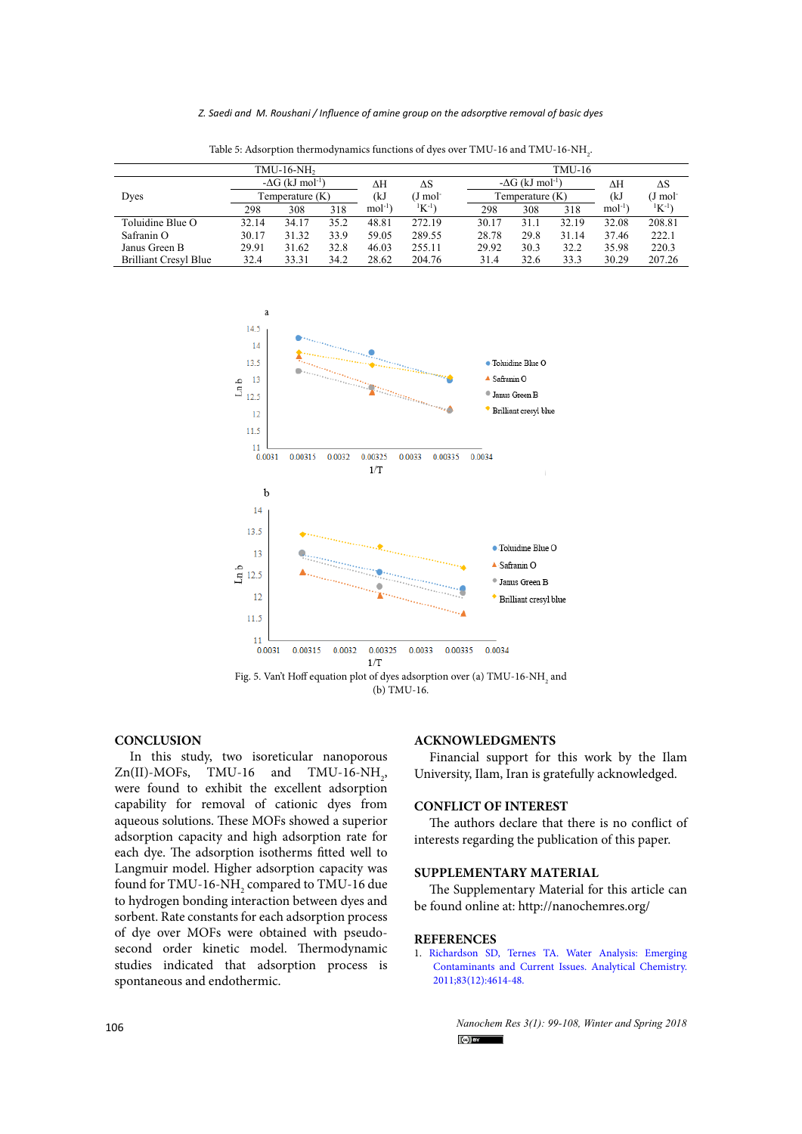*Z. Saedi and M. Roushani / Influence of amine group on the adsorptive removal of basic dyes* 

| $TMU-16-NH2$                 |                                     |       |      |                       |          |                                     | $TMU-16$ |       |            |                |  |  |
|------------------------------|-------------------------------------|-------|------|-----------------------|----------|-------------------------------------|----------|-------|------------|----------------|--|--|
|                              | $-\Delta G$ (kJ mol <sup>-1</sup> ) |       | ΔН   | $\Delta S$            |          | $-\Delta G$ (kJ mol <sup>-1</sup> ) |          | ΔΗ    | $\Delta S$ |                |  |  |
| Dyes                         | Temperature (K)                     |       | (kJ  | $(J \text{ mol}^{-})$ |          | Temperature $(K)$                   |          |       | J mol      |                |  |  |
|                              | 298                                 | 308   | 318  | $mol-1$               | $K^{-1}$ | 298                                 | 308      | 318   | $mol^{-1}$ | ${}^{1}K^{-1}$ |  |  |
| Toluidine Blue O             | 32.14                               | 34.17 | 35.2 | 48.81                 | 272.19   | 30.17                               | 31.1     | 32.19 | 32.08      | 208.81         |  |  |
| Safranin O                   | 30.17                               | 31.32 | 33.9 | 59.05                 | 289.55   | 28.78                               | 29.8     | 31.14 | 37.46      | 222.1          |  |  |
| Janus Green B                | 29.91                               | 31.62 | 32.8 | 46.03                 | 255.11   | 29.92                               | 30.3     | 32.2  | 35.98      | 220.3          |  |  |
| <b>Brilliant Cresyl Blue</b> | 32.4                                | 33.31 | 34.2 | 28.62                 | 204.76   | 31.4                                | 32.6     | 33.3  | 30.29      | 207.26         |  |  |

Table 5: Adsorption thermodynamics functions of dyes over TMU-16 and TMU-16-NH<sub>2</sub>.



**Fig. 5**  (b) TMU-16.

#### **CONCLUSION**

In this study, two isoreticular nanoporous  $Zn(II)$ -MOFs, TMU-16 and TMU-16-NH<sub>2</sub>, were found to exhibit the excellent adsorption capability for removal of cationic dyes from aqueous solutions. These MOFs showed a superior adsorption capacity and high adsorption rate for each dye. The adsorption isotherms fitted well to Langmuir model. Higher adsorption capacity was found for TMU-16-NH $_{\rm _2}$  compared to TMU-16 due to hydrogen bonding interaction between dyes and sorbent. Rate constants for each adsorption process of dye over MOFs were obtained with pseudosecond order kinetic model. Thermodynamic studies indicated that adsorption process is spontaneous and endothermic.

#### **ACKNOWLEDGMENTS**

Financial support for this work by the Ilam University, Ilam, Iran is gratefully acknowledged.

# **CONFLICT OF INTEREST**

The authors declare that there is no conflict of interests regarding the publication of this paper.

#### **SUPPLEMENTARY MATERIAL**

The Supplementary Material for this article can be found online at: http://nanochemres.org/

# **REFERENCES**

1. [Richardson SD, Ternes TA. Water Analysis: Emerging](https://doi.org/10.1021/ac200915r) [Contaminants and Current Issues. Analytical Chemistry.](https://doi.org/10.1021/ac200915r) [2011;83\(12\):4614-48.](https://doi.org/10.1021/ac200915r)

> *Nanochem Res 3(1): 99-108, Winter and Spring 2018*  $\left($ <sub>c</sub>o $\right)$  by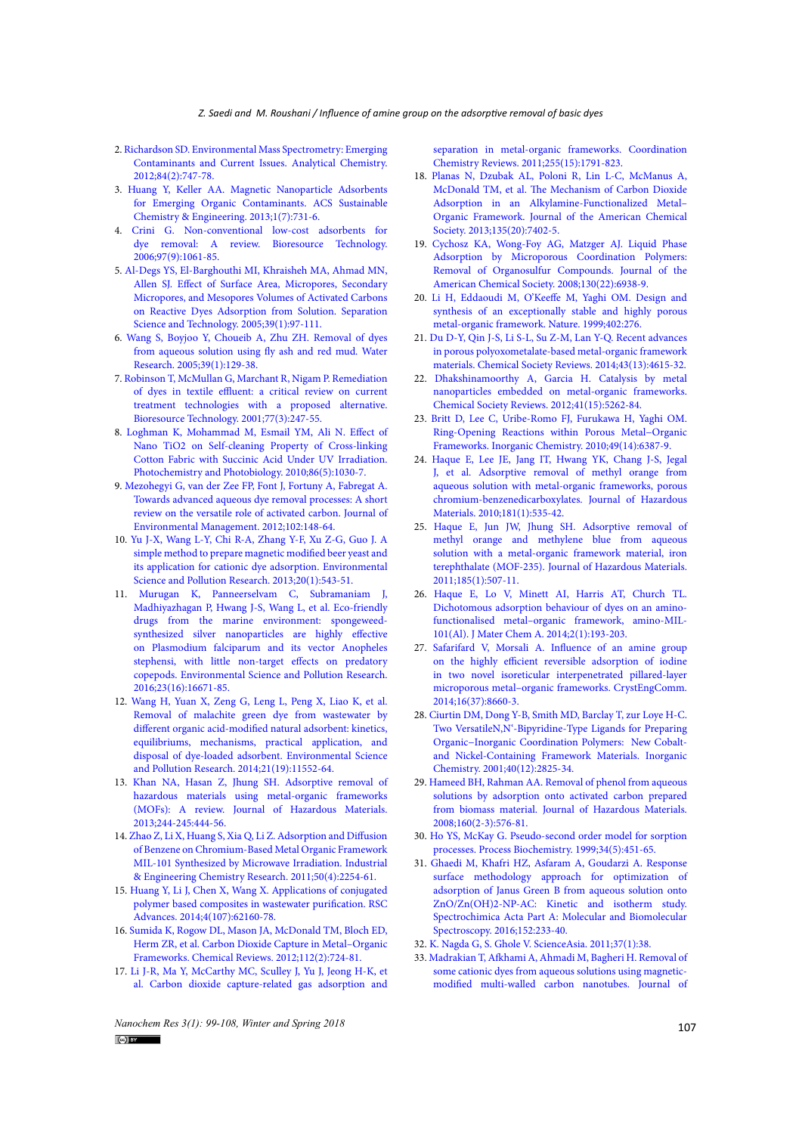- 2. [Richardson SD. Environmental Mass Spectrometry: Emerging](https://doi.org/10.1021/ac202903d)  [Contaminants and Current Issues. Analytical Chemistry.](https://doi.org/10.1021/ac202903d)  [2012;84\(2\):747-78.](https://doi.org/10.1021/ac202903d)
- 3. [Huang Y, Keller AA. Magnetic Nanoparticle Adsorbents](https://doi.org/10.1021/sc400047q)  [for Emerging Organic Contaminants. ACS Sustainable](https://doi.org/10.1021/sc400047q)  [Chemistry & Engineering. 2013;1\(7\):731-6.](https://doi.org/10.1021/sc400047q)
- 4. [Crini G. Non-conventional low-cost adsorbents for](http://www.sciencedirect.com/science/article/pii/S0960852405002452)  [dye removal: A review. Bioresource Technology.](http://www.sciencedirect.com/science/article/pii/S0960852405002452)  [2006;97\(9\):1061-85.](http://www.sciencedirect.com/science/article/pii/S0960852405002452)
- 5. [Al‐Degs YS, El‐Barghouthi MI, Khraisheh MA, Ahmad MN,](https://doi.org/10.1081/SS-120027403)  [Allen SJ. Effect of Surface Area, Micropores, Secondary](https://doi.org/10.1081/SS-120027403)  [Micropores, and Mesopores Volumes of Activated Carbons](https://doi.org/10.1081/SS-120027403)  [on Reactive Dyes Adsorption from Solution. Separation](https://doi.org/10.1081/SS-120027403)  [Science and Technology. 2005;39\(1\):97-111.](https://doi.org/10.1081/SS-120027403)
- 6. [Wang S, Boyjoo Y, Choueib A, Zhu ZH. Removal of dyes](http://www.sciencedirect.com/science/article/pii/S0043135404004592)  [from aqueous solution using fly ash and red mud. Water](http://www.sciencedirect.com/science/article/pii/S0043135404004592)  [Research. 2005;39\(1\):129-38.](http://www.sciencedirect.com/science/article/pii/S0043135404004592)
- 7. [Robinson T, McMullan G, Marchant R, Nigam P. Remediation](http://www.sciencedirect.com/science/article/pii/S0960852400000808)  [of dyes in textile effluent: a critical review on current](http://www.sciencedirect.com/science/article/pii/S0960852400000808)  [treatment technologies with a proposed alternative.](http://www.sciencedirect.com/science/article/pii/S0960852400000808)  [Bioresource Technology. 2001;77\(3\):247-55.](http://www.sciencedirect.com/science/article/pii/S0960852400000808)
- 8. [Loghman K, Mohammad M, Esmail YM, Ali N. Effect of](https://onlinelibrary.wiley.com/doi/abs/10.1111/j.1751-1097.2010.00756.x)  Nano TiO2 on Self-cleaning Property of Cross-linking [Cotton Fabric with Succinic Acid Under UV Irradiation.](https://onlinelibrary.wiley.com/doi/abs/10.1111/j.1751-1097.2010.00756.x)  [Photochemistry and Photobiology. 2010;86\(5\):1030-7.](https://onlinelibrary.wiley.com/doi/abs/10.1111/j.1751-1097.2010.00756.x)
- 9. [Mezohegyi G, van der Zee FP, Font J, Fortuny A, Fabregat A.](http://www.sciencedirect.com/science/article/pii/S0301479712000904)  [Towards advanced aqueous dye removal processes: A short](http://www.sciencedirect.com/science/article/pii/S0301479712000904)  [review on the versatile role of activated carbon. Journal of](http://www.sciencedirect.com/science/article/pii/S0301479712000904)  [Environmental Management. 2012;102:148-64.](http://www.sciencedirect.com/science/article/pii/S0301479712000904)
- 10. [Yu J-X, Wang L-Y, Chi R-A, Zhang Y-F, Xu Z-G, Guo J. A](https://doi.org/10.1007/s11356-012-0903-3)  [simple method to prepare magnetic modified beer yeast and](https://doi.org/10.1007/s11356-012-0903-3)  [its application for cationic dye adsorption. Environmental](https://doi.org/10.1007/s11356-012-0903-3)  [Science and Pollution Research. 2013;20\(1\):543-51.](https://doi.org/10.1007/s11356-012-0903-3)
- 11. [Murugan K, Panneerselvam C, Subramaniam J,](https://doi.org/10.1007/s11356-016-6832-9)  [Madhiyazhagan P, Hwang J-S, Wang L, et al. Eco-friendly](https://doi.org/10.1007/s11356-016-6832-9)  [drugs from the marine environment: spongeweed](https://doi.org/10.1007/s11356-016-6832-9)[synthesized silver nanoparticles are highly effective](https://doi.org/10.1007/s11356-016-6832-9)  [on Plasmodium falciparum and its vector Anopheles](https://doi.org/10.1007/s11356-016-6832-9)  [stephensi, with little non-target effects on predatory](https://doi.org/10.1007/s11356-016-6832-9)  [copepods. Environmental Science and Pollution Research.](https://doi.org/10.1007/s11356-016-6832-9)  [2016;23\(16\):16671-85.](https://doi.org/10.1007/s11356-016-6832-9)
- 12. [Wang H, Yuan X, Zeng G, Leng L, Peng X, Liao K, et al.](https://doi.org/10.1007/s11356-014-3025-2)  [Removal of malachite green dye from wastewater by](https://doi.org/10.1007/s11356-014-3025-2)  [different organic acid-modified natural adsorbent: kinetics,](https://doi.org/10.1007/s11356-014-3025-2)  [equilibriums, mechanisms, practical application, and](https://doi.org/10.1007/s11356-014-3025-2)  [disposal of dye-loaded adsorbent. Environmental Science](https://doi.org/10.1007/s11356-014-3025-2)  [and Pollution Research. 2014;21\(19\):11552-64.](https://doi.org/10.1007/s11356-014-3025-2)
- 13. [Khan NA, Hasan Z, Jhung SH. Adsorptive removal of](http://www.sciencedirect.com/science/article/pii/S0304389412011028)  [hazardous materials using metal-organic frameworks](http://www.sciencedirect.com/science/article/pii/S0304389412011028)  [\(MOFs\): A review. Journal of Hazardous Materials.](http://www.sciencedirect.com/science/article/pii/S0304389412011028)  [2013;244-245:444-56.](http://www.sciencedirect.com/science/article/pii/S0304389412011028)
- 14. [Zhao Z, Li X, Huang S, Xia Q, Li Z. Adsorption and Diffusion](https://doi.org/10.1021/ie101414n)  [of Benzene on Chromium-Based Metal Organic Framework](https://doi.org/10.1021/ie101414n)  [MIL-101 Synthesized by Microwave Irradiation. Industrial](https://doi.org/10.1021/ie101414n)  [& Engineering Chemistry Research. 2011;50\(4\):2254-61.](https://doi.org/10.1021/ie101414n)
- 15. [Huang Y, Li J, Chen X, Wang X. Applications of conjugated](http://pubs.rsc.org/en/content/articlehtml/2014/ra/c4ra11496e)  [polymer based composites in wastewater purification. RSC](http://pubs.rsc.org/en/content/articlehtml/2014/ra/c4ra11496e)  [Advances. 2014;4\(107\):62160-78.](http://pubs.rsc.org/en/content/articlehtml/2014/ra/c4ra11496e)
- 16. [Sumida K, Rogow DL, Mason JA, McDonald TM, Bloch ED,](https://doi.org/10.1021/cr2003272)  [Herm ZR, et al. Carbon Dioxide Capture in Metal–Organic](https://doi.org/10.1021/cr2003272)  [Frameworks. Chemical Reviews. 2012;112\(2\):724-81.](https://doi.org/10.1021/cr2003272)
- 17. [Li J-R, Ma Y, McCarthy MC, Sculley J, Yu J, Jeong H-K, et](http://www.sciencedirect.com/science/article/pii/S0010854511000701)  [al. Carbon dioxide capture-related gas adsorption and](http://www.sciencedirect.com/science/article/pii/S0010854511000701)

*Nanochem Res 3(1): 99-108, Winter and Spring 2018* **107 107** 

[separation in metal-organic frameworks. Coordination](http://www.sciencedirect.com/science/article/pii/S0010854511000701) [Chemistry Reviews. 2011;255\(15\):1791-823.](http://www.sciencedirect.com/science/article/pii/S0010854511000701)

- 18. [Planas N, Dzubak AL, Poloni R, Lin L-C, McManus A,](https://doi.org/10.1021/ja4004766) [McDonald TM, et al. The Mechanism of Carbon Dioxide](https://doi.org/10.1021/ja4004766) [Adsorption in an Alkylamine-Functionalized Metal–](https://doi.org/10.1021/ja4004766) [Organic Framework. Journal of the American Chemical](https://doi.org/10.1021/ja4004766) [Society. 2013;135\(20\):7402-5.](https://doi.org/10.1021/ja4004766)
- 19. [Cychosz KA, Wong-Foy AG, Matzger AJ. Liquid Phase](https://doi.org/10.1021/ja802121u) [Adsorption by Microporous Coordination Polymers:](https://doi.org/10.1021/ja802121u) [Removal of Organosulfur Compounds. Journal of the](https://doi.org/10.1021/ja802121u) [American Chemical Society. 2008;130\(22\):6938-9.](https://doi.org/10.1021/ja802121u)
- 20. [Li H, Eddaoudi M, O'Keeffe M, Yaghi OM. Design and](http://dx.doi.org/10.1038/46248) [synthesis of an exceptionally stable and highly porous](http://dx.doi.org/10.1038/46248) [metal-organic framework. Nature. 1999;402:276.](http://dx.doi.org/10.1038/46248)
- 21. [Du D-Y, Qin J-S, Li S-L, Su Z-M, Lan Y-Q. Recent advances](http://dx.doi.org/10.1039/C3CS60404G) [in porous polyoxometalate-based metal-organic framework](http://dx.doi.org/10.1039/C3CS60404G) [materials. Chemical Society Reviews. 2014;43\(13\):4615-32.](http://dx.doi.org/10.1039/C3CS60404G)
- 22. [Dhakshinamoorthy A, Garcia H. Catalysis by metal](http://dx.doi.org/10.1039/C2CS35047E) [nanoparticles embedded on metal-organic frameworks.](http://dx.doi.org/10.1039/C2CS35047E) [Chemical Society Reviews. 2012;41\(15\):5262-84.](http://dx.doi.org/10.1039/C2CS35047E)
- 23. [Britt D, Lee C, Uribe-Romo FJ, Furukawa H, Yaghi OM.](https://doi.org/10.1021/ic100652x) [Ring-Opening Reactions within Porous Metal−Organic](https://doi.org/10.1021/ic100652x) [Frameworks. Inorganic Chemistry. 2010;49\(14\):6387-9.](https://doi.org/10.1021/ic100652x)
- 24. [Haque E, Lee JE, Jang IT, Hwang YK, Chang J-S, Jegal](http://www.sciencedirect.com/science/article/pii/S0304389410006308) [J, et al. Adsorptive removal of methyl orange from](http://www.sciencedirect.com/science/article/pii/S0304389410006308) [aqueous solution with metal-organic frameworks, porous](http://www.sciencedirect.com/science/article/pii/S0304389410006308) [chromium-benzenedicarboxylates. Journal of Hazardous](http://www.sciencedirect.com/science/article/pii/S0304389410006308) [Materials. 2010;181\(1\):535-42.](http://www.sciencedirect.com/science/article/pii/S0304389410006308)
- 25. [Haque E, Jun JW, Jhung SH. Adsorptive removal of](http://www.sciencedirect.com/science/article/pii/S0304389410011945) [methyl orange and methylene blue from aqueous](http://www.sciencedirect.com/science/article/pii/S0304389410011945) [solution with a metal-organic framework material, iron](http://www.sciencedirect.com/science/article/pii/S0304389410011945) [terephthalate \(MOF-235\). Journal of Hazardous Materials.](http://www.sciencedirect.com/science/article/pii/S0304389410011945) [2011;185\(1\):507-11.](http://www.sciencedirect.com/science/article/pii/S0304389410011945)
- 26. [Haque E, Lo V, Minett AI, Harris AT, Church TL.](http://dx.doi.org/10.1039/c3ta13589f) [Dichotomous adsorption behaviour of dyes on an amino](http://dx.doi.org/10.1039/c3ta13589f)[functionalised metal–organic framework, amino-MIL-](http://dx.doi.org/10.1039/c3ta13589f)[101\(Al\). J Mater Chem A. 2014;2\(1\):193-203.](http://dx.doi.org/10.1039/c3ta13589f)
- 27. [Safarifard V, Morsali A. Influence of an amine group](http://dx.doi.org/10.1039/c4ce01331j) [on the highly efficient reversible adsorption of iodine](http://dx.doi.org/10.1039/c4ce01331j) [in two novel isoreticular interpenetrated pillared-layer](http://dx.doi.org/10.1039/c4ce01331j) [microporous metal–organic frameworks. CrystEngComm.](http://dx.doi.org/10.1039/c4ce01331j) [2014;16\(37\):8660-3.](http://dx.doi.org/10.1039/c4ce01331j)
- 28. [Ciurtin DM, Dong Y-B, Smith MD, Barclay T, zur Loye H-C.](http://dx.doi.org/10.1021/ic0014336) [Two VersatileN,N'-Bipyridine-Type Ligands for Preparing](http://dx.doi.org/10.1021/ic0014336) [Organic−Inorganic Coordination Polymers: New Cobalt](http://dx.doi.org/10.1021/ic0014336)[and Nickel-Containing Framework Materials. Inorganic](http://dx.doi.org/10.1021/ic0014336) [Chemistry. 2001;40\(12\):2825-34.](http://dx.doi.org/10.1021/ic0014336)
- 29. [Hameed BH, Rahman AA. Removal of phenol from aqueous](http://dx.doi.org/10.1016/j.jhazmat.2008.03.028) [solutions by adsorption onto activated carbon prepared](http://dx.doi.org/10.1016/j.jhazmat.2008.03.028) [from biomass material. Journal of Hazardous Materials.](http://dx.doi.org/10.1016/j.jhazmat.2008.03.028) [2008;160\(2-3\):576-81.](http://dx.doi.org/10.1016/j.jhazmat.2008.03.028)
- 30. [Ho YS, McKay G. Pseudo-second order model for sorption](http://dx.doi.org/10.1016/s0032-9592(98)00112-5) [processes. Process Biochemistry. 1999;34\(5\):451-65.](http://dx.doi.org/10.1016/s0032-9592(98)00112-5)
- 31. [Ghaedi M, Khafri HZ, Asfaram A, Goudarzi A. Response](http://dx.doi.org/10.1016/j.saa.2015.06.128) [surface methodology approach for optimization of](http://dx.doi.org/10.1016/j.saa.2015.06.128) [adsorption of Janus Green B from aqueous solution onto](http://dx.doi.org/10.1016/j.saa.2015.06.128) [ZnO/Zn\(OH\)2-NP-AC: Kinetic and isotherm study.](http://dx.doi.org/10.1016/j.saa.2015.06.128) [Spectrochimica Acta Part A: Molecular and Biomolecular](http://dx.doi.org/10.1016/j.saa.2015.06.128) [Spectroscopy. 2016;152:233-40.](http://dx.doi.org/10.1016/j.saa.2015.06.128)
- 32. [K. Nagda G, S. Ghole V. ScienceAsia. 2011;37\(1\):38.](http://dx.doi.org/10.2306/scienceasia1513-1874.2011.37.038)
- 33. [Madrakian T, Afkhami A, Ahmadi M, Bagheri H. Removal of](http://dx.doi.org/10.1016/j.jhazmat.2011.08.078) [some cationic dyes from aqueous solutions using magnetic](http://dx.doi.org/10.1016/j.jhazmat.2011.08.078)[modified multi-walled carbon nanotubes. Journal of](http://dx.doi.org/10.1016/j.jhazmat.2011.08.078)